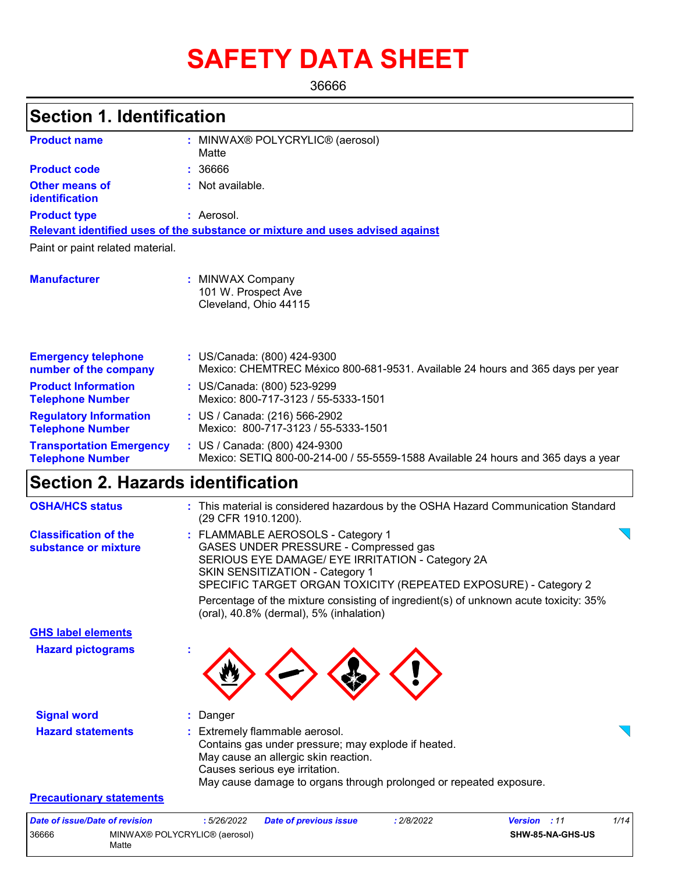# **SAFETY DATA SHEET**

36666

| <b>Section 1. Identification</b>                           |                                                                                                                                                                                                                                                                                                                                                                         |
|------------------------------------------------------------|-------------------------------------------------------------------------------------------------------------------------------------------------------------------------------------------------------------------------------------------------------------------------------------------------------------------------------------------------------------------------|
| <b>Product name</b>                                        | : MINWAX® POLYCRYLIC® (aerosol)                                                                                                                                                                                                                                                                                                                                         |
|                                                            | Matte                                                                                                                                                                                                                                                                                                                                                                   |
| <b>Product code</b>                                        | : 36666                                                                                                                                                                                                                                                                                                                                                                 |
| <b>Other means of</b><br>identification                    | : Not available.                                                                                                                                                                                                                                                                                                                                                        |
| <b>Product type</b>                                        | : Aerosol.                                                                                                                                                                                                                                                                                                                                                              |
|                                                            | Relevant identified uses of the substance or mixture and uses advised against                                                                                                                                                                                                                                                                                           |
| Paint or paint related material.                           |                                                                                                                                                                                                                                                                                                                                                                         |
| <b>Manufacturer</b>                                        | : MINWAX Company<br>101 W. Prospect Ave<br>Cleveland, Ohio 44115                                                                                                                                                                                                                                                                                                        |
| <b>Emergency telephone</b><br>number of the company        | : US/Canada: (800) 424-9300<br>Mexico: CHEMTREC México 800-681-9531. Available 24 hours and 365 days per year                                                                                                                                                                                                                                                           |
| <b>Product Information</b><br><b>Telephone Number</b>      | : US/Canada: (800) 523-9299<br>Mexico: 800-717-3123 / 55-5333-1501                                                                                                                                                                                                                                                                                                      |
| <b>Regulatory Information</b><br><b>Telephone Number</b>   | : US / Canada: (216) 566-2902<br>Mexico: 800-717-3123 / 55-5333-1501                                                                                                                                                                                                                                                                                                    |
| <b>Transportation Emergency</b><br><b>Telephone Number</b> | : US / Canada: (800) 424-9300<br>Mexico: SETIQ 800-00-214-00 / 55-5559-1588 Available 24 hours and 365 days a year                                                                                                                                                                                                                                                      |
| <b>Section 2. Hazards identification</b>                   |                                                                                                                                                                                                                                                                                                                                                                         |
| <b>OSHA/HCS status</b>                                     | : This material is considered hazardous by the OSHA Hazard Communication Standard<br>(29 CFR 1910.1200).                                                                                                                                                                                                                                                                |
| <b>Classification of the</b><br>substance or mixture       | : FLAMMABLE AEROSOLS - Category 1<br>GASES UNDER PRESSURE - Compressed gas<br>SERIOUS EYE DAMAGE/ EYE IRRITATION - Category 2A<br>SKIN SENSITIZATION - Category 1<br>SPECIFIC TARGET ORGAN TOXICITY (REPEATED EXPOSURE) - Category 2<br>Percentage of the mixture consisting of ingredient(s) of unknown acute toxicity: 35%<br>(oral), 40.8% (dermal), 5% (inhalation) |
| <b>GHS label elements</b>                                  |                                                                                                                                                                                                                                                                                                                                                                         |
| <b>Hazard pictograms</b>                                   |                                                                                                                                                                                                                                                                                                                                                                         |
| <b>Signal word</b>                                         | Danger                                                                                                                                                                                                                                                                                                                                                                  |
| <b>Hazard statements</b>                                   | : Extremely flammable aerosol.<br>Contains gas under pressure; may explode if heated.<br>May cause an allergic skin reaction.<br>Causes serious eye irritation.<br>May cause damage to organs through prolonged or repeated exposure.                                                                                                                                   |
| <b>Precautionary statements</b>                            |                                                                                                                                                                                                                                                                                                                                                                         |
| <b>Date of issue/Date of revision</b>                      | :5/26/2022<br>: 2/8/2022<br>Version : 11<br>1/14<br><b>Date of previous issue</b>                                                                                                                                                                                                                                                                                       |

**SHW-85-NA-GHS-US**

36666 MINWAX® POLYCRYLIC® (aerosol)

Matte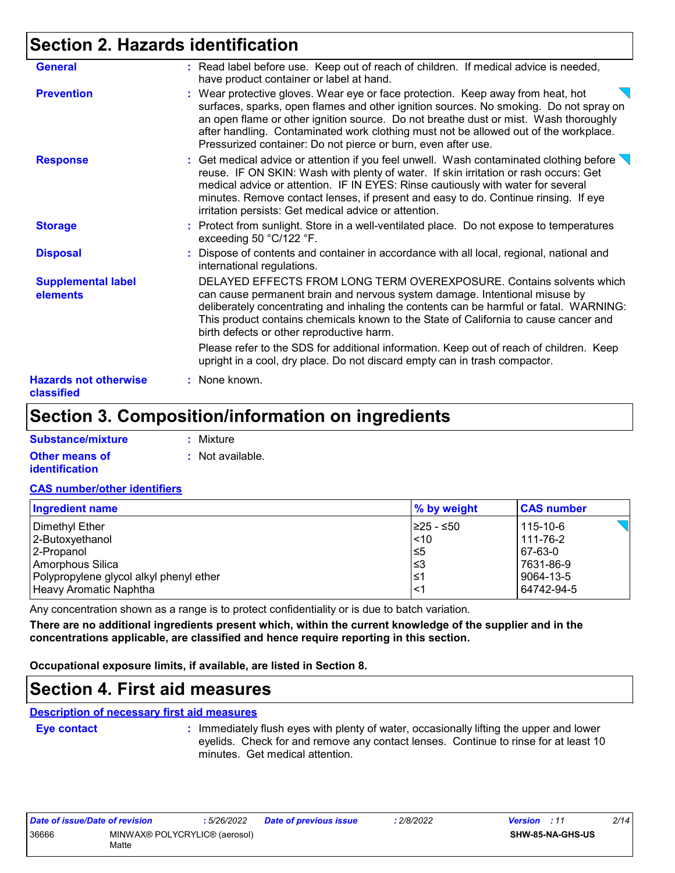### **Section 2. Hazards identification**

| <b>General</b>                             | : Read label before use. Keep out of reach of children. If medical advice is needed,<br>have product container or label at hand.                                                                                                                                                                                                                                                                                                |
|--------------------------------------------|---------------------------------------------------------------------------------------------------------------------------------------------------------------------------------------------------------------------------------------------------------------------------------------------------------------------------------------------------------------------------------------------------------------------------------|
| <b>Prevention</b>                          | : Wear protective gloves. Wear eye or face protection. Keep away from heat, hot<br>surfaces, sparks, open flames and other ignition sources. No smoking. Do not spray on<br>an open flame or other ignition source. Do not breathe dust or mist. Wash thoroughly<br>after handling. Contaminated work clothing must not be allowed out of the workplace.<br>Pressurized container: Do not pierce or burn, even after use.       |
| <b>Response</b>                            | : Get medical advice or attention if you feel unwell. Wash contaminated clothing before $\setminus$<br>reuse. IF ON SKIN: Wash with plenty of water. If skin irritation or rash occurs: Get<br>medical advice or attention. IF IN EYES: Rinse cautiously with water for several<br>minutes. Remove contact lenses, if present and easy to do. Continue rinsing. If eye<br>irritation persists: Get medical advice or attention. |
| <b>Storage</b>                             | : Protect from sunlight. Store in a well-ventilated place. Do not expose to temperatures<br>exceeding 50 °C/122 °F.                                                                                                                                                                                                                                                                                                             |
| <b>Disposal</b>                            | : Dispose of contents and container in accordance with all local, regional, national and<br>international regulations.                                                                                                                                                                                                                                                                                                          |
| <b>Supplemental label</b><br>elements      | DELAYED EFFECTS FROM LONG TERM OVEREXPOSURE. Contains solvents which<br>can cause permanent brain and nervous system damage. Intentional misuse by<br>deliberately concentrating and inhaling the contents can be harmful or fatal. WARNING:<br>This product contains chemicals known to the State of California to cause cancer and<br>birth defects or other reproductive harm.                                               |
|                                            | Please refer to the SDS for additional information. Keep out of reach of children. Keep<br>upright in a cool, dry place. Do not discard empty can in trash compactor.                                                                                                                                                                                                                                                           |
| <b>Hazards not otherwise</b><br>classified | : None known.                                                                                                                                                                                                                                                                                                                                                                                                                   |

### **Section 3. Composition/information on ingredients**

| Substance/mixture     | : Mixture        |
|-----------------------|------------------|
| <b>Other means of</b> | : Not available. |
| identification        |                  |

#### **CAS number/other identifiers**

| Ingredient name                         | % by weight | <b>CAS number</b> |
|-----------------------------------------|-------------|-------------------|
| Dimethyl Ether                          | I≥25 - ≤50  | 115-10-6          |
| 2-Butoxyethanol                         | ~10         | 111-76-2          |
| 2-Propanol                              | l≤5         | 67-63-0           |
| Amorphous Silica                        | ≤3          | 7631-86-9         |
| Polypropylene glycol alkyl phenyl ether | ≤1          | 9064-13-5         |
| Heavy Aromatic Naphtha                  | <1          | 64742-94-5        |

Any concentration shown as a range is to protect confidentiality or is due to batch variation.

**There are no additional ingredients present which, within the current knowledge of the supplier and in the concentrations applicable, are classified and hence require reporting in this section.**

**Occupational exposure limits, if available, are listed in Section 8.**

### **Section 4. First aid measures**

#### **Description of necessary first aid measures**

**Eye contact :**

: Immediately flush eyes with plenty of water, occasionally lifting the upper and lower eyelids. Check for and remove any contact lenses. Continue to rinse for at least 10 minutes. Get medical attention.

| Date of issue/Date of revision |                                        | 5/26/2022 | <b>Date of previous issue</b> | 2/8/2022 | <b>Version</b> : 11 |                  | 2/14 |
|--------------------------------|----------------------------------------|-----------|-------------------------------|----------|---------------------|------------------|------|
| 36666                          | MINWAX® POLYCRYLIC® (aerosol)<br>Matte |           |                               |          |                     | SHW-85-NA-GHS-US |      |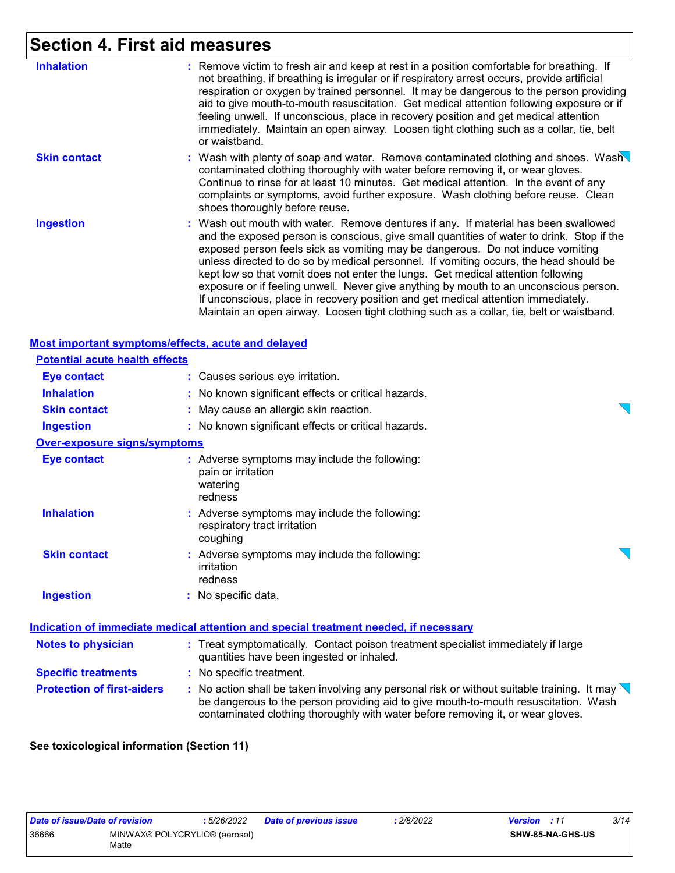## **Section 4. First aid measures**

| <b>Inhalation</b>   | : Remove victim to fresh air and keep at rest in a position comfortable for breathing. If<br>not breathing, if breathing is irregular or if respiratory arrest occurs, provide artificial<br>respiration or oxygen by trained personnel. It may be dangerous to the person providing<br>aid to give mouth-to-mouth resuscitation. Get medical attention following exposure or if<br>feeling unwell. If unconscious, place in recovery position and get medical attention<br>immediately. Maintain an open airway. Loosen tight clothing such as a collar, tie, belt<br>or waistband.                                                                                                                                      |
|---------------------|---------------------------------------------------------------------------------------------------------------------------------------------------------------------------------------------------------------------------------------------------------------------------------------------------------------------------------------------------------------------------------------------------------------------------------------------------------------------------------------------------------------------------------------------------------------------------------------------------------------------------------------------------------------------------------------------------------------------------|
| <b>Skin contact</b> | : Wash with plenty of soap and water. Remove contaminated clothing and shoes. Wash<br>contaminated clothing thoroughly with water before removing it, or wear gloves.<br>Continue to rinse for at least 10 minutes. Get medical attention. In the event of any<br>complaints or symptoms, avoid further exposure. Wash clothing before reuse. Clean<br>shoes thoroughly before reuse.                                                                                                                                                                                                                                                                                                                                     |
| <b>Ingestion</b>    | : Wash out mouth with water. Remove dentures if any. If material has been swallowed<br>and the exposed person is conscious, give small quantities of water to drink. Stop if the<br>exposed person feels sick as vomiting may be dangerous. Do not induce vomiting<br>unless directed to do so by medical personnel. If vomiting occurs, the head should be<br>kept low so that vomit does not enter the lungs. Get medical attention following<br>exposure or if feeling unwell. Never give anything by mouth to an unconscious person.<br>If unconscious, place in recovery position and get medical attention immediately.<br>Maintain an open airway. Loosen tight clothing such as a collar, tie, belt or waistband. |

#### **Most important symptoms/effects, acute and delayed**

| <b>Potential acute health effects</b> |                                                                                                                                                                                                                                                                                   |  |
|---------------------------------------|-----------------------------------------------------------------------------------------------------------------------------------------------------------------------------------------------------------------------------------------------------------------------------------|--|
| <b>Eye contact</b>                    | : Causes serious eye irritation.                                                                                                                                                                                                                                                  |  |
| <b>Inhalation</b>                     | : No known significant effects or critical hazards.                                                                                                                                                                                                                               |  |
| <b>Skin contact</b>                   | : May cause an allergic skin reaction.                                                                                                                                                                                                                                            |  |
| <b>Ingestion</b>                      | : No known significant effects or critical hazards.                                                                                                                                                                                                                               |  |
| <b>Over-exposure signs/symptoms</b>   |                                                                                                                                                                                                                                                                                   |  |
| <b>Eye contact</b>                    | : Adverse symptoms may include the following:<br>pain or irritation<br>watering<br>redness                                                                                                                                                                                        |  |
| <b>Inhalation</b>                     | : Adverse symptoms may include the following:<br>respiratory tract irritation<br>coughing                                                                                                                                                                                         |  |
| <b>Skin contact</b>                   | : Adverse symptoms may include the following:<br>irritation<br>redness                                                                                                                                                                                                            |  |
| <b>Ingestion</b>                      | : No specific data.                                                                                                                                                                                                                                                               |  |
|                                       | Indication of immediate medical attention and special treatment needed, if necessary                                                                                                                                                                                              |  |
| <b>Notes to physician</b>             | : Treat symptomatically. Contact poison treatment specialist immediately if large<br>quantities have been ingested or inhaled.                                                                                                                                                    |  |
| <b>Specific treatments</b>            | : No specific treatment.                                                                                                                                                                                                                                                          |  |
| <b>Protection of first-aiders</b>     | : No action shall be taken involving any personal risk or without suitable training. It may $\setminus$<br>be dangerous to the person providing aid to give mouth-to-mouth resuscitation. Wash<br>contaminated clothing thoroughly with water before removing it, or wear gloves. |  |

#### **See toxicological information (Section 11)**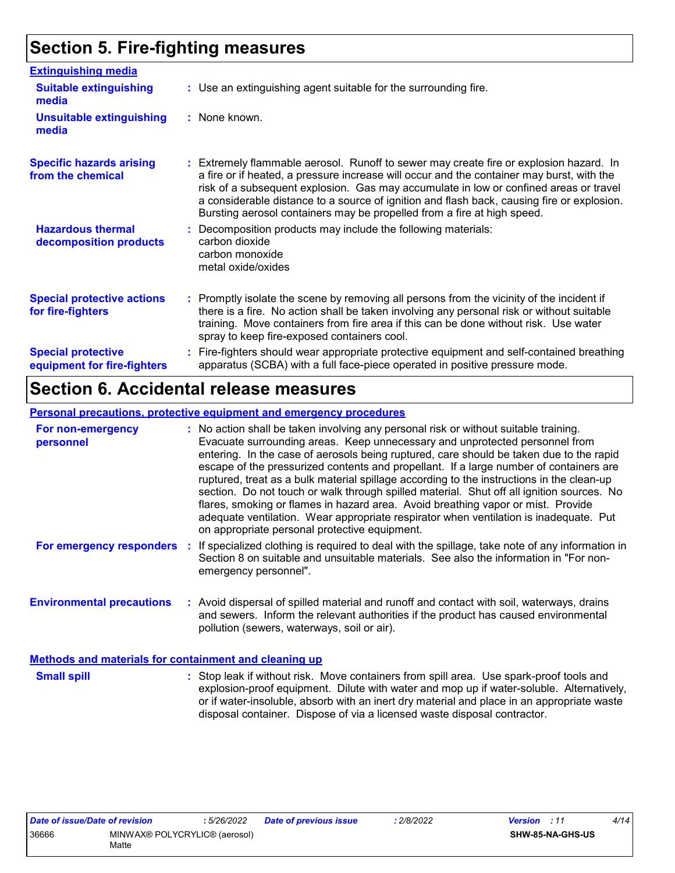### **Section 5. Fire-fighting measures**

| <b>Extinguishing media</b>                               |                                                                                                                                                                                                                                                                                                                                                                                                                                                       |
|----------------------------------------------------------|-------------------------------------------------------------------------------------------------------------------------------------------------------------------------------------------------------------------------------------------------------------------------------------------------------------------------------------------------------------------------------------------------------------------------------------------------------|
| <b>Suitable extinguishing</b><br>media                   | : Use an extinguishing agent suitable for the surrounding fire.                                                                                                                                                                                                                                                                                                                                                                                       |
| <b>Unsuitable extinguishing</b><br>media                 | : None known.                                                                                                                                                                                                                                                                                                                                                                                                                                         |
| <b>Specific hazards arising</b><br>from the chemical     | : Extremely flammable aerosol. Runoff to sewer may create fire or explosion hazard. In<br>a fire or if heated, a pressure increase will occur and the container may burst, with the<br>risk of a subsequent explosion. Gas may accumulate in low or confined areas or travel<br>a considerable distance to a source of ignition and flash back, causing fire or explosion.<br>Bursting aerosol containers may be propelled from a fire at high speed. |
| <b>Hazardous thermal</b><br>decomposition products       | Decomposition products may include the following materials:<br>carbon dioxide<br>carbon monoxide<br>metal oxide/oxides                                                                                                                                                                                                                                                                                                                                |
| <b>Special protective actions</b><br>for fire-fighters   | : Promptly isolate the scene by removing all persons from the vicinity of the incident if<br>there is a fire. No action shall be taken involving any personal risk or without suitable<br>training. Move containers from fire area if this can be done without risk. Use water<br>spray to keep fire-exposed containers cool.                                                                                                                         |
| <b>Special protective</b><br>equipment for fire-fighters | Fire-fighters should wear appropriate protective equipment and self-contained breathing<br>apparatus (SCBA) with a full face-piece operated in positive pressure mode.                                                                                                                                                                                                                                                                                |

### **Section 6. Accidental release measures**

#### **Personal precautions, protective equipment and emergency procedures**

| For non-emergency<br>personnel                               |  | : No action shall be taken involving any personal risk or without suitable training.<br>Evacuate surrounding areas. Keep unnecessary and unprotected personnel from<br>entering. In the case of aerosols being ruptured, care should be taken due to the rapid<br>escape of the pressurized contents and propellant. If a large number of containers are<br>ruptured, treat as a bulk material spillage according to the instructions in the clean-up<br>section. Do not touch or walk through spilled material. Shut off all ignition sources. No<br>flares, smoking or flames in hazard area. Avoid breathing vapor or mist. Provide<br>adequate ventilation. Wear appropriate respirator when ventilation is inadequate. Put<br>on appropriate personal protective equipment. |  |  |
|--------------------------------------------------------------|--|----------------------------------------------------------------------------------------------------------------------------------------------------------------------------------------------------------------------------------------------------------------------------------------------------------------------------------------------------------------------------------------------------------------------------------------------------------------------------------------------------------------------------------------------------------------------------------------------------------------------------------------------------------------------------------------------------------------------------------------------------------------------------------|--|--|
|                                                              |  | For emergency responders : If specialized clothing is required to deal with the spillage, take note of any information in<br>Section 8 on suitable and unsuitable materials. See also the information in "For non-<br>emergency personnel".                                                                                                                                                                                                                                                                                                                                                                                                                                                                                                                                      |  |  |
| <b>Environmental precautions</b>                             |  | : Avoid dispersal of spilled material and runoff and contact with soil, waterways, drains<br>and sewers. Inform the relevant authorities if the product has caused environmental<br>pollution (sewers, waterways, soil or air).                                                                                                                                                                                                                                                                                                                                                                                                                                                                                                                                                  |  |  |
| <b>Methods and materials for containment and cleaning up</b> |  |                                                                                                                                                                                                                                                                                                                                                                                                                                                                                                                                                                                                                                                                                                                                                                                  |  |  |

Stop leak if without risk. Move containers from spill area. Use spark-proof tools and explosion-proof equipment. Dilute with water and mop up if water-soluble. Alternatively, or if water-insoluble, absorb with an inert dry material and place in an appropriate waste disposal container. Dispose of via a licensed waste disposal contractor. **Small spill :**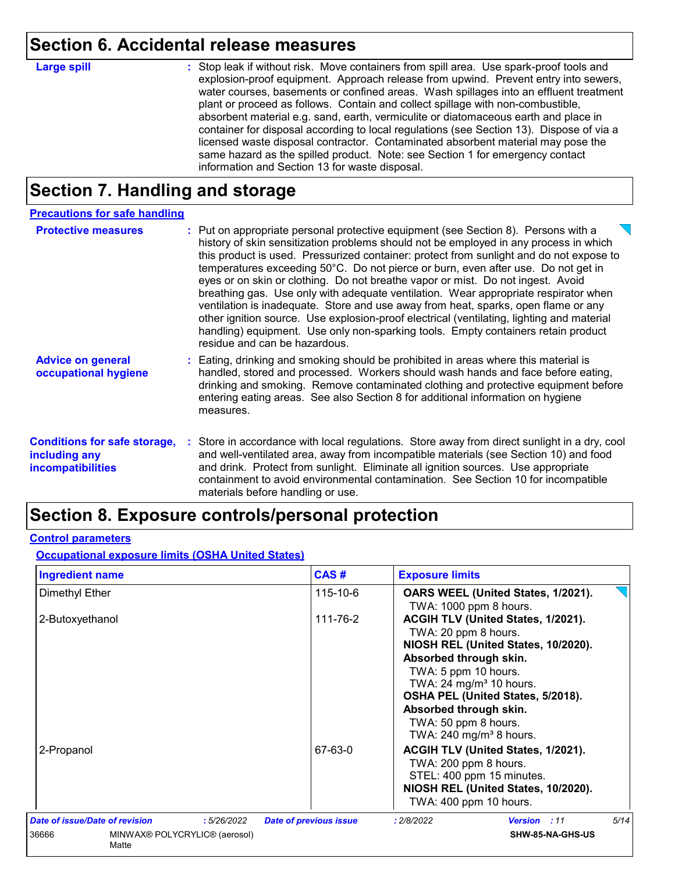### **Section 6. Accidental release measures**

# **Large spill :**

Stop leak if without risk. Move containers from spill area. Use spark-proof tools and explosion-proof equipment. Approach release from upwind. Prevent entry into sewers, water courses, basements or confined areas. Wash spillages into an effluent treatment plant or proceed as follows. Contain and collect spillage with non-combustible, absorbent material e.g. sand, earth, vermiculite or diatomaceous earth and place in container for disposal according to local regulations (see Section 13). Dispose of via a licensed waste disposal contractor. Contaminated absorbent material may pose the same hazard as the spilled product. Note: see Section 1 for emergency contact information and Section 13 for waste disposal.

### **Section 7. Handling and storage**

| <b>Precautions for safe handling</b>                                             |                                                                                                                                                                                                                                                                                                                                                                                                                                                                                                                                                                                                                                                                                                                                                                                                                                                |
|----------------------------------------------------------------------------------|------------------------------------------------------------------------------------------------------------------------------------------------------------------------------------------------------------------------------------------------------------------------------------------------------------------------------------------------------------------------------------------------------------------------------------------------------------------------------------------------------------------------------------------------------------------------------------------------------------------------------------------------------------------------------------------------------------------------------------------------------------------------------------------------------------------------------------------------|
| <b>Protective measures</b>                                                       | : Put on appropriate personal protective equipment (see Section 8). Persons with a<br>history of skin sensitization problems should not be employed in any process in which<br>this product is used. Pressurized container: protect from sunlight and do not expose to<br>temperatures exceeding 50°C. Do not pierce or burn, even after use. Do not get in<br>eyes or on skin or clothing. Do not breathe vapor or mist. Do not ingest. Avoid<br>breathing gas. Use only with adequate ventilation. Wear appropriate respirator when<br>ventilation is inadequate. Store and use away from heat, sparks, open flame or any<br>other ignition source. Use explosion-proof electrical (ventilating, lighting and material<br>handling) equipment. Use only non-sparking tools. Empty containers retain product<br>residue and can be hazardous. |
| <b>Advice on general</b><br>occupational hygiene                                 | : Eating, drinking and smoking should be prohibited in areas where this material is<br>handled, stored and processed. Workers should wash hands and face before eating,<br>drinking and smoking. Remove contaminated clothing and protective equipment before<br>entering eating areas. See also Section 8 for additional information on hygiene<br>measures.                                                                                                                                                                                                                                                                                                                                                                                                                                                                                  |
| <b>Conditions for safe storage,</b><br>including any<br><b>incompatibilities</b> | : Store in accordance with local regulations. Store away from direct sunlight in a dry, cool<br>and well-ventilated area, away from incompatible materials (see Section 10) and food<br>and drink. Protect from sunlight. Eliminate all ignition sources. Use appropriate<br>containment to avoid environmental contamination. See Section 10 for incompatible<br>materials before handling or use.                                                                                                                                                                                                                                                                                                                                                                                                                                            |

### **Section 8. Exposure controls/personal protection**

#### **Control parameters**

**Occupational exposure limits (OSHA United States)**

| <b>Ingredient name</b>                                                                        | CAS#                          | <b>Exposure limits</b>                                                                                                                                                                                                                                                                                                  |  |  |
|-----------------------------------------------------------------------------------------------|-------------------------------|-------------------------------------------------------------------------------------------------------------------------------------------------------------------------------------------------------------------------------------------------------------------------------------------------------------------------|--|--|
| Dimethyl Ether                                                                                | 115-10-6                      | OARS WEEL (United States, 1/2021).<br>TWA: 1000 ppm 8 hours.                                                                                                                                                                                                                                                            |  |  |
| 2-Butoxyethanol                                                                               | 111-76-2                      | ACGIH TLV (United States, 1/2021).<br>TWA: 20 ppm 8 hours.<br>NIOSH REL (United States, 10/2020).<br>Absorbed through skin.<br>TWA: 5 ppm 10 hours.<br>TWA: $24 \text{ mg/m}^3$ 10 hours.<br>OSHA PEL (United States, 5/2018).<br>Absorbed through skin.<br>TWA: 50 ppm 8 hours.<br>TWA: 240 mg/m <sup>3</sup> 8 hours. |  |  |
| 2-Propanol                                                                                    | 67-63-0                       | ACGIH TLV (United States, 1/2021).<br>TWA: 200 ppm 8 hours.<br>STEL: 400 ppm 15 minutes.<br>NIOSH REL (United States, 10/2020).<br>TWA: 400 ppm 10 hours.                                                                                                                                                               |  |  |
| <b>Date of issue/Date of revision</b><br>:5/26/2022<br>36666<br>MINWAX® POLYCRYLIC® (aerosol) | <b>Date of previous issue</b> | 5/14<br>: 2/8/2022<br>Version : 11<br>SHW-85-NA-GHS-US                                                                                                                                                                                                                                                                  |  |  |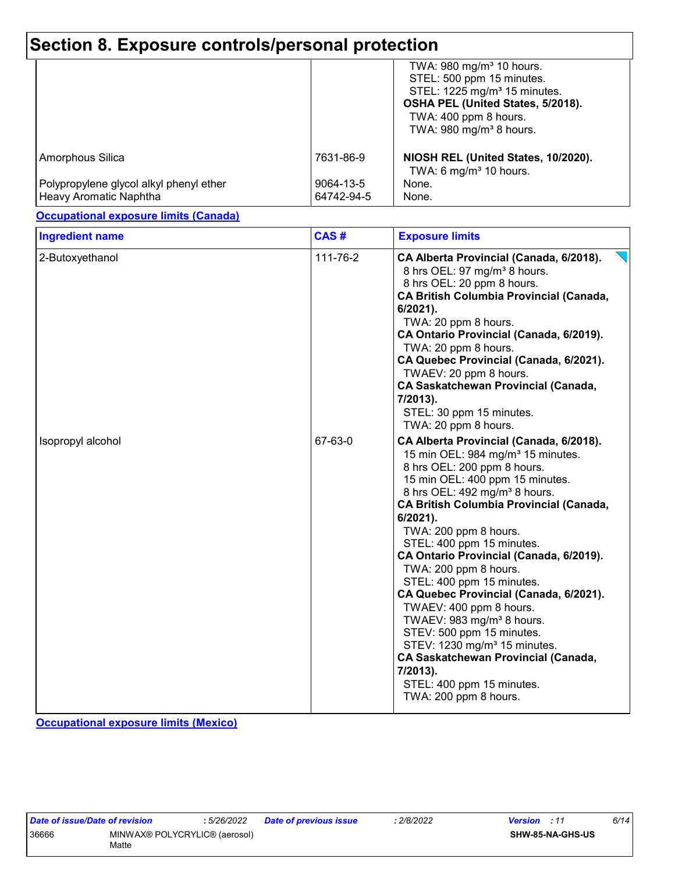### **Section 8. Exposure controls/personal protection**

|                                                                   |                         | TWA: 980 mg/m <sup>3</sup> 10 hours.<br>STEL: 500 ppm 15 minutes.<br>STEL: 1225 mg/m <sup>3</sup> 15 minutes.<br>OSHA PEL (United States, 5/2018).<br>TWA: 400 ppm 8 hours.<br>TWA: $980 \text{ mg/m}^3$ 8 hours. |
|-------------------------------------------------------------------|-------------------------|-------------------------------------------------------------------------------------------------------------------------------------------------------------------------------------------------------------------|
| Amorphous Silica                                                  | 7631-86-9               | NIOSH REL (United States, 10/2020).<br>TWA: 6 mg/m <sup>3</sup> 10 hours.                                                                                                                                         |
| Polypropylene glycol alkyl phenyl ether<br>Heavy Aromatic Naphtha | 9064-13-5<br>64742-94-5 | None.<br>None.                                                                                                                                                                                                    |

#### **Occupational exposure limits (Canada)**

| <b>Ingredient name</b> | CAS#     | <b>Exposure limits</b>                                                                                                                                                                                                                                                                                                                                                                                                                                                                                                                                                                                                                                                                                                                    |
|------------------------|----------|-------------------------------------------------------------------------------------------------------------------------------------------------------------------------------------------------------------------------------------------------------------------------------------------------------------------------------------------------------------------------------------------------------------------------------------------------------------------------------------------------------------------------------------------------------------------------------------------------------------------------------------------------------------------------------------------------------------------------------------------|
| 2-Butoxyethanol        | 111-76-2 | CA Alberta Provincial (Canada, 6/2018).<br>8 hrs OEL: 97 mg/m <sup>3</sup> 8 hours.<br>8 hrs OEL: 20 ppm 8 hours.<br><b>CA British Columbia Provincial (Canada,</b><br>6/2021).<br>TWA: 20 ppm 8 hours.<br>CA Ontario Provincial (Canada, 6/2019).<br>TWA: 20 ppm 8 hours.<br>CA Quebec Provincial (Canada, 6/2021).<br>TWAEV: 20 ppm 8 hours.<br><b>CA Saskatchewan Provincial (Canada,</b><br>7/2013).<br>STEL: 30 ppm 15 minutes.<br>TWA: 20 ppm 8 hours.                                                                                                                                                                                                                                                                              |
| Isopropyl alcohol      | 67-63-0  | CA Alberta Provincial (Canada, 6/2018).<br>15 min OEL: 984 mg/m <sup>3</sup> 15 minutes.<br>8 hrs OEL: 200 ppm 8 hours.<br>15 min OEL: 400 ppm 15 minutes.<br>8 hrs OEL: 492 mg/m <sup>3</sup> 8 hours.<br><b>CA British Columbia Provincial (Canada,</b><br>$6/2021$ ).<br>TWA: 200 ppm 8 hours.<br>STEL: 400 ppm 15 minutes.<br>CA Ontario Provincial (Canada, 6/2019).<br>TWA: 200 ppm 8 hours.<br>STEL: 400 ppm 15 minutes.<br>CA Quebec Provincial (Canada, 6/2021).<br>TWAEV: 400 ppm 8 hours.<br>TWAEV: 983 mg/m <sup>3</sup> 8 hours.<br>STEV: 500 ppm 15 minutes.<br>STEV: 1230 mg/m <sup>3</sup> 15 minutes.<br><b>CA Saskatchewan Provincial (Canada,</b><br>$7/2013$ ).<br>STEL: 400 ppm 15 minutes.<br>TWA: 200 ppm 8 hours. |

**Occupational exposure limits (Mexico)**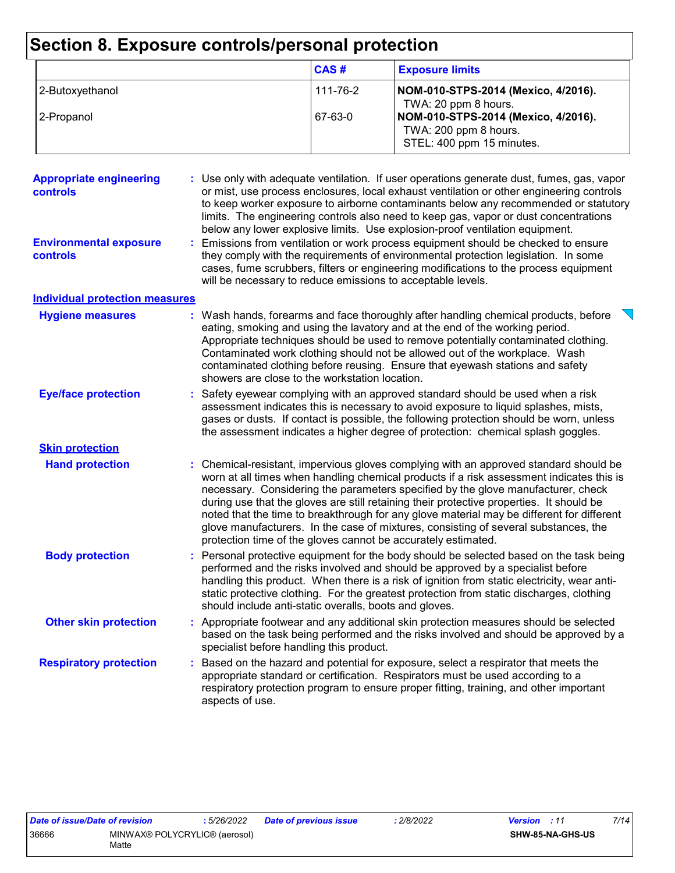# **Section 8. Exposure controls/personal protection**

|                 | CAS#     | <b>Exposure limits</b>                                                                    |
|-----------------|----------|-------------------------------------------------------------------------------------------|
| 2-Butoxyethanol | 111-76-2 | NOM-010-STPS-2014 (Mexico, 4/2016).<br>TWA: 20 ppm 8 hours.                               |
| 2-Propanol      | 67-63-0  | NOM-010-STPS-2014 (Mexico, 4/2016).<br>TWA: 200 ppm 8 hours.<br>STEL: 400 ppm 15 minutes. |

| <b>Appropriate engineering</b><br>controls | : Use only with adequate ventilation. If user operations generate dust, fumes, gas, vapor<br>or mist, use process enclosures, local exhaust ventilation or other engineering controls<br>to keep worker exposure to airborne contaminants below any recommended or statutory<br>limits. The engineering controls also need to keep gas, vapor or dust concentrations<br>below any lower explosive limits. Use explosion-proof ventilation equipment.                                                                                                                                                                   |  |
|--------------------------------------------|------------------------------------------------------------------------------------------------------------------------------------------------------------------------------------------------------------------------------------------------------------------------------------------------------------------------------------------------------------------------------------------------------------------------------------------------------------------------------------------------------------------------------------------------------------------------------------------------------------------------|--|
| <b>Environmental exposure</b><br>controls  | : Emissions from ventilation or work process equipment should be checked to ensure<br>they comply with the requirements of environmental protection legislation. In some<br>cases, fume scrubbers, filters or engineering modifications to the process equipment<br>will be necessary to reduce emissions to acceptable levels.                                                                                                                                                                                                                                                                                        |  |
| <b>Individual protection measures</b>      |                                                                                                                                                                                                                                                                                                                                                                                                                                                                                                                                                                                                                        |  |
| <b>Hygiene measures</b>                    | : Wash hands, forearms and face thoroughly after handling chemical products, before<br>eating, smoking and using the lavatory and at the end of the working period.<br>Appropriate techniques should be used to remove potentially contaminated clothing.<br>Contaminated work clothing should not be allowed out of the workplace. Wash<br>contaminated clothing before reusing. Ensure that eyewash stations and safety<br>showers are close to the workstation location.                                                                                                                                            |  |
| <b>Eye/face protection</b>                 | Safety eyewear complying with an approved standard should be used when a risk<br>assessment indicates this is necessary to avoid exposure to liquid splashes, mists,<br>gases or dusts. If contact is possible, the following protection should be worn, unless<br>the assessment indicates a higher degree of protection: chemical splash goggles.                                                                                                                                                                                                                                                                    |  |
| <b>Skin protection</b>                     |                                                                                                                                                                                                                                                                                                                                                                                                                                                                                                                                                                                                                        |  |
| <b>Hand protection</b>                     | : Chemical-resistant, impervious gloves complying with an approved standard should be<br>worn at all times when handling chemical products if a risk assessment indicates this is<br>necessary. Considering the parameters specified by the glove manufacturer, check<br>during use that the gloves are still retaining their protective properties. It should be<br>noted that the time to breakthrough for any glove material may be different for different<br>glove manufacturers. In the case of mixtures, consisting of several substances, the<br>protection time of the gloves cannot be accurately estimated. |  |
| <b>Body protection</b>                     | : Personal protective equipment for the body should be selected based on the task being<br>performed and the risks involved and should be approved by a specialist before<br>handling this product. When there is a risk of ignition from static electricity, wear anti-<br>static protective clothing. For the greatest protection from static discharges, clothing<br>should include anti-static overalls, boots and gloves.                                                                                                                                                                                         |  |
| <b>Other skin protection</b>               | : Appropriate footwear and any additional skin protection measures should be selected<br>based on the task being performed and the risks involved and should be approved by a<br>specialist before handling this product.                                                                                                                                                                                                                                                                                                                                                                                              |  |
| <b>Respiratory protection</b>              | Based on the hazard and potential for exposure, select a respirator that meets the<br>appropriate standard or certification. Respirators must be used according to a<br>respiratory protection program to ensure proper fitting, training, and other important<br>aspects of use.                                                                                                                                                                                                                                                                                                                                      |  |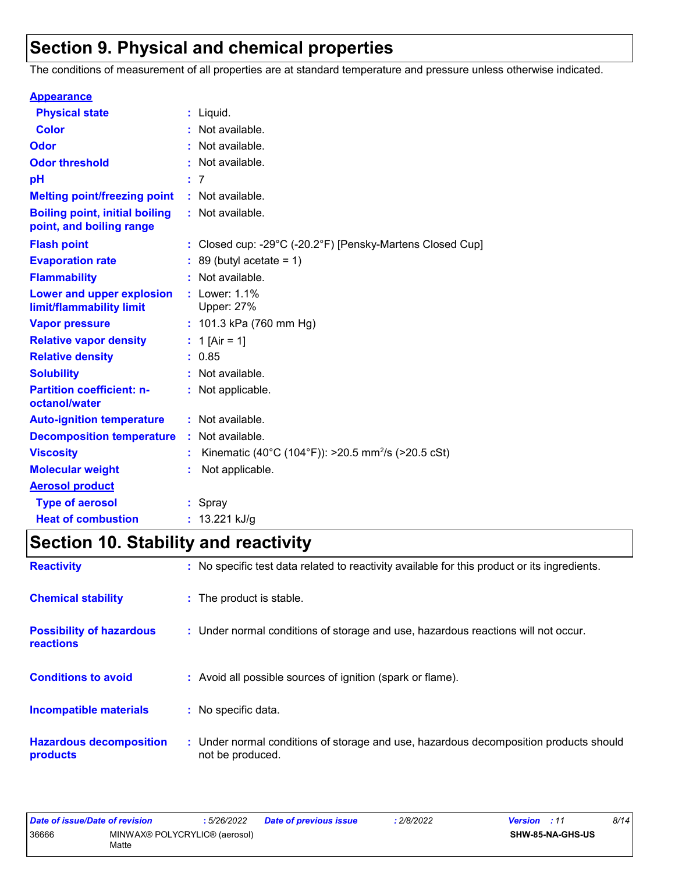### **Section 9. Physical and chemical properties**

The conditions of measurement of all properties are at standard temperature and pressure unless otherwise indicated.

| <b>Appearance</b>                                                 |    |                                                                                 |
|-------------------------------------------------------------------|----|---------------------------------------------------------------------------------|
| <b>Physical state</b>                                             |    | $:$ Liquid.                                                                     |
| <b>Color</b>                                                      |    | Not available.                                                                  |
| Odor                                                              |    | : Not available.                                                                |
| <b>Odor threshold</b>                                             |    | Not available.                                                                  |
| рH                                                                |    | : 7                                                                             |
| <b>Melting point/freezing point</b>                               |    | : Not available.                                                                |
| <b>Boiling point, initial boiling</b><br>point, and boiling range |    | : Not available.                                                                |
| <b>Flash point</b>                                                |    | : Closed cup: -29 $^{\circ}$ C (-20.2 $^{\circ}$ F) [Pensky-Martens Closed Cup] |
| <b>Evaporation rate</b>                                           |    | 89 (butyl acetate = $1$ )                                                       |
| <b>Flammability</b>                                               |    | Not available.                                                                  |
| <b>Lower and upper explosion</b><br>limit/flammability limit      |    | Lower: 1.1%<br><b>Upper: 27%</b>                                                |
| <b>Vapor pressure</b>                                             |    | : 101.3 kPa (760 mm Hg)                                                         |
| <b>Relative vapor density</b>                                     |    | : 1 [Air = 1]                                                                   |
| <b>Relative density</b>                                           |    | : 0.85                                                                          |
| <b>Solubility</b>                                                 |    | : Not available.                                                                |
| <b>Partition coefficient: n-</b><br>octanol/water                 |    | : Not applicable.                                                               |
| <b>Auto-ignition temperature</b>                                  |    | : Not available.                                                                |
| <b>Decomposition temperature</b>                                  | ÷. | Not available.                                                                  |
| <b>Viscosity</b>                                                  |    | Kinematic (40°C (104°F)): >20.5 mm <sup>2</sup> /s (>20.5 cSt)                  |
| <b>Molecular weight</b>                                           |    | Not applicable.                                                                 |
| <b>Aerosol product</b>                                            |    |                                                                                 |
| <b>Type of aerosol</b>                                            |    | : Spray                                                                         |
| <b>Heat of combustion</b>                                         |    | : $13.221$ kJ/g                                                                 |

## **Section 10. Stability and reactivity**

| <b>Reactivity</b>                                   | : No specific test data related to reactivity available for this product or its ingredients.              |
|-----------------------------------------------------|-----------------------------------------------------------------------------------------------------------|
| <b>Chemical stability</b>                           | : The product is stable.                                                                                  |
| <b>Possibility of hazardous</b><br><b>reactions</b> | : Under normal conditions of storage and use, hazardous reactions will not occur.                         |
| <b>Conditions to avoid</b>                          | : Avoid all possible sources of ignition (spark or flame).                                                |
| <b>Incompatible materials</b>                       | : No specific data.                                                                                       |
| <b>Hazardous decomposition</b><br>products          | : Under normal conditions of storage and use, hazardous decomposition products should<br>not be produced. |

| Date of issue/Date of revision |                                        | 5/26/2022 | Date of previous issue | 2/8/2022 | <b>Version</b> : 11 |                  | 8/14 |
|--------------------------------|----------------------------------------|-----------|------------------------|----------|---------------------|------------------|------|
| 36666                          | MINWAX® POLYCRYLIC® (aerosol)<br>Matte |           |                        |          |                     | SHW-85-NA-GHS-US |      |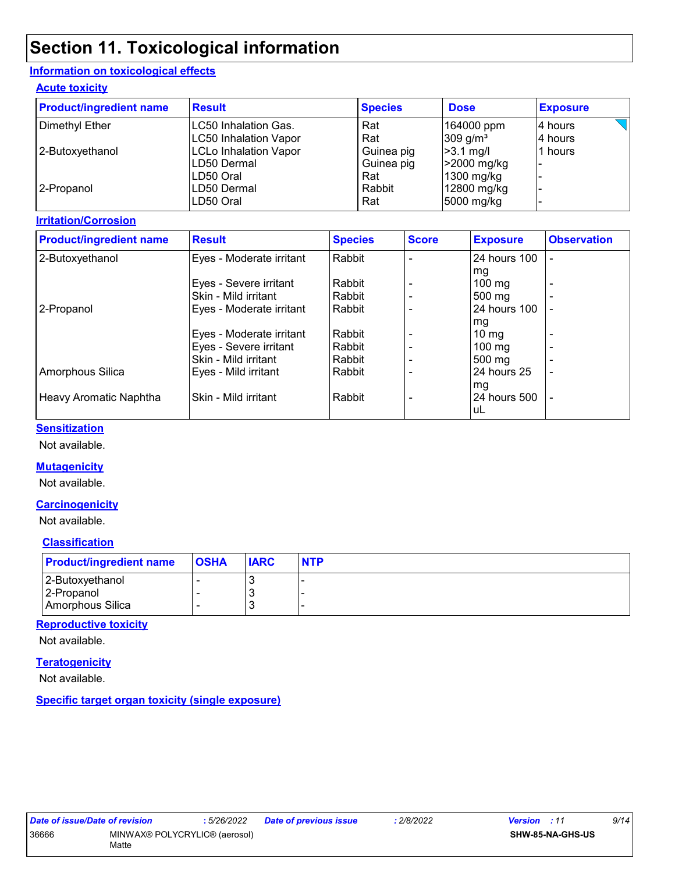# **Section 11. Toxicological information**

#### **Information on toxicological effects**

#### **Acute toxicity**

| <b>Product/ingredient name</b> | <b>Result</b>                | <b>Species</b> | <b>Dose</b>          | <b>Exposure</b> |
|--------------------------------|------------------------------|----------------|----------------------|-----------------|
| Dimethyl Ether                 | LC50 Inhalation Gas.         | Rat            | 164000 ppm           | l4 hours        |
|                                | LC50 Inhalation Vapor        | Rat            | 309 g/m <sup>3</sup> | 4 hours         |
| 2-Butoxyethanol                | <b>LCLo Inhalation Vapor</b> | Guinea pig     | $>3.1$ mg/l          | 1 hours         |
|                                | ILD50 Dermal                 | Guinea pig     | >2000 mg/kg          |                 |
|                                | ILD50 Oral                   | Rat            | 1300 mg/kg           |                 |
| 2-Propanol                     | ILD50 Dermal                 | Rabbit         | 12800 mg/kg          |                 |
|                                | LD50 Oral                    | Rat            | 5000 mg/kg           |                 |

#### **Irritation/Corrosion**

| <b>Product/ingredient name</b> | <b>Result</b>            | <b>Species</b> | <b>Score</b> | <b>Exposure</b>  | <b>Observation</b> |
|--------------------------------|--------------------------|----------------|--------------|------------------|--------------------|
| 2-Butoxyethanol                | Eyes - Moderate irritant | Rabbit         |              | 24 hours 100     |                    |
|                                |                          |                |              | mg               |                    |
|                                | Eyes - Severe irritant   | Rabbit         |              | $100 \text{ mg}$ |                    |
|                                | Skin - Mild irritant     | Rabbit         |              | 500 mg           |                    |
| 2-Propanol                     | Eyes - Moderate irritant | Rabbit         |              | 24 hours 100     |                    |
|                                |                          |                |              | mg               |                    |
|                                | Eyes - Moderate irritant | Rabbit         |              | $10 \mathrm{mg}$ |                    |
|                                | Eyes - Severe irritant   | Rabbit         |              | $100 \text{ mg}$ |                    |
|                                | Skin - Mild irritant     | Rabbit         |              | $500 \text{ mg}$ |                    |
| Amorphous Silica               | Eyes - Mild irritant     | Rabbit         |              | 24 hours 25      |                    |
|                                |                          |                |              | mg               |                    |
| Heavy Aromatic Naphtha         | Skin - Mild irritant     | Rabbit         |              | 24 hours 500     |                    |
|                                |                          |                |              | uL               |                    |

#### **Sensitization**

Not available.

#### **Mutagenicity**

Not available.

#### **Carcinogenicity**

Not available.

#### **Classification**

| <b>Product/ingredient name</b> | <b>OSHA</b> | <b>IARC</b> | <b>NTP</b> |
|--------------------------------|-------------|-------------|------------|
| 2-Butoxyethanol                |             |             |            |
| 2-Propanol                     |             |             |            |
| Amorphous Silica               |             |             |            |

#### **Reproductive toxicity**

Not available.

#### **Teratogenicity**

Not available.

**Specific target organ toxicity (single exposure)**

| Date of issue/Date of revision |                               | : 5/26/2022 | Date of previous issue | 2/8/2022 | <b>Version</b> : 11 |                  | 9/14 |
|--------------------------------|-------------------------------|-------------|------------------------|----------|---------------------|------------------|------|
| 36666                          | MINWAX® POLYCRYLIC® (aerosol) |             |                        |          |                     | SHW-85-NA-GHS-US |      |
|                                | Matte                         |             |                        |          |                     |                  |      |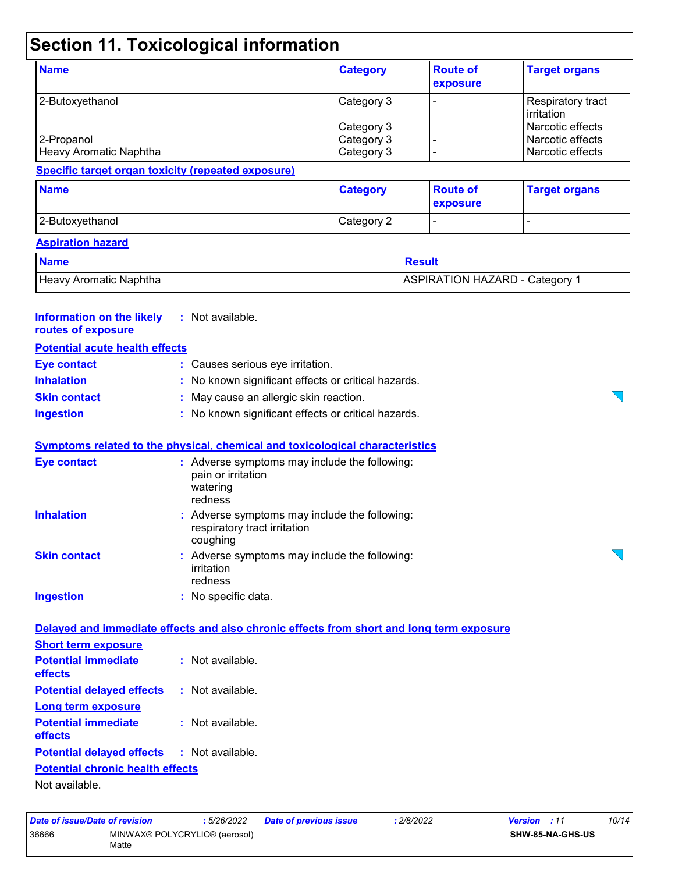# **Section 11. Toxicological information**

| <b>Name</b>            | <b>Category</b> | <b>Route of</b><br>exposure | <b>Target organs</b>             |
|------------------------|-----------------|-----------------------------|----------------------------------|
| 2-Butoxyethanol        | Category 3      |                             | Respiratory tract<br>lirritation |
|                        | Category 3      |                             | Narcotic effects                 |
| 2-Propanol             | Category 3      |                             | l Narcotic effects               |
| Heavy Aromatic Naphtha | Category 3      |                             | Narcotic effects                 |

**Specific target organ toxicity (repeated exposure)**

| <b>Name</b>     | <b>Category</b> | <b>Route of</b><br>exposure | <b>Target organs</b>     |
|-----------------|-----------------|-----------------------------|--------------------------|
| 2-Butoxyethanol | Category 2      |                             | $\overline{\phantom{0}}$ |

#### **Aspiration hazard**

| <b>Name</b>            | Result                       |  |  |  |
|------------------------|------------------------------|--|--|--|
| Heavy Aromatic Naphtha | ASPIRATION HAZARD - Category |  |  |  |

| <b>Information on the likely</b><br>routes of exposure | : Not available.                                                                           |  |
|--------------------------------------------------------|--------------------------------------------------------------------------------------------|--|
| <b>Potential acute health effects</b>                  |                                                                                            |  |
| <b>Eye contact</b>                                     | : Causes serious eye irritation.                                                           |  |
| <b>Inhalation</b>                                      | : No known significant effects or critical hazards.                                        |  |
| <b>Skin contact</b>                                    | : May cause an allergic skin reaction.                                                     |  |
| <b>Ingestion</b>                                       | : No known significant effects or critical hazards.                                        |  |
|                                                        | Symptoms related to the physical, chemical and toxicological characteristics               |  |
| <b>Eye contact</b>                                     | : Adverse symptoms may include the following:<br>pain or irritation<br>watering<br>redness |  |
| <b>Inhalation</b>                                      | : Adverse symptoms may include the following:<br>respiratory tract irritation<br>coughing  |  |
| <b>Skin contact</b>                                    | : Adverse symptoms may include the following:<br>irritation<br>redness                     |  |
| <b>Ingestion</b>                                       | : No specific data.                                                                        |  |
|                                                        | Delayed and immediate effects and also chronic effects from short and long term exposure   |  |
| <b>Short term exposure</b>                             |                                                                                            |  |
| <b>Potential immediate</b><br>effects                  | : Not available.                                                                           |  |
| <b>Potential delayed effects</b>                       | : Not available.                                                                           |  |
| <b>Long term exposure</b>                              |                                                                                            |  |
| <b>Potential immediate</b><br>effects                  | : Not available.                                                                           |  |
| <b>Potential delayed effects</b>                       | : Not available.                                                                           |  |
| <b>Potential chronic health effects</b>                |                                                                                            |  |
| Not available.                                         |                                                                                            |  |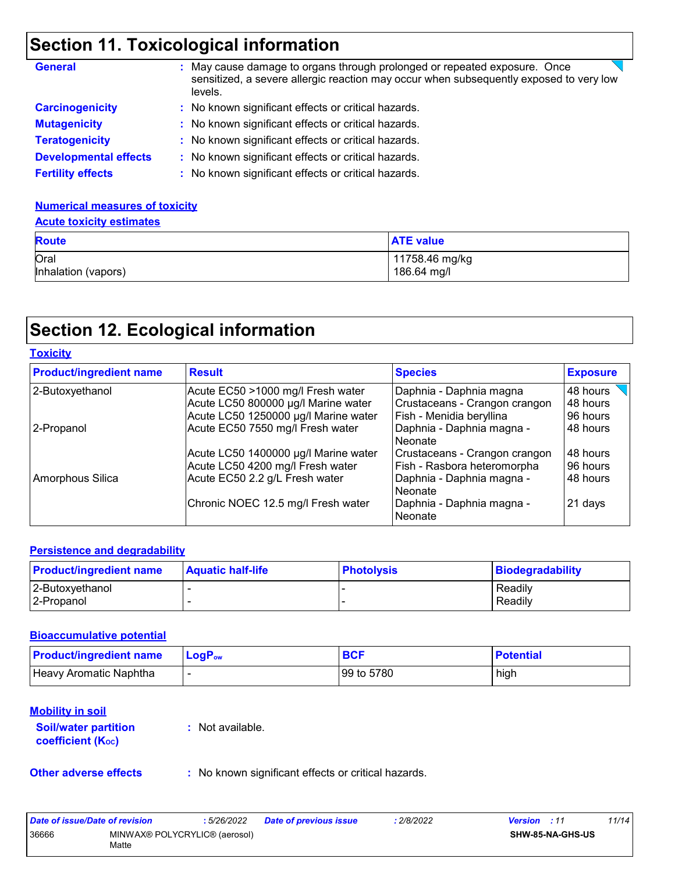### **Section 11. Toxicological information**

| <b>General</b>               | : May cause damage to organs through prolonged or repeated exposure. Once<br>sensitized, a severe allergic reaction may occur when subsequently exposed to very low<br>levels. |
|------------------------------|--------------------------------------------------------------------------------------------------------------------------------------------------------------------------------|
| <b>Carcinogenicity</b>       | : No known significant effects or critical hazards.                                                                                                                            |
| <b>Mutagenicity</b>          | : No known significant effects or critical hazards.                                                                                                                            |
| <b>Teratogenicity</b>        | : No known significant effects or critical hazards.                                                                                                                            |
| <b>Developmental effects</b> | : No known significant effects or critical hazards.                                                                                                                            |
| <b>Fertility effects</b>     | : No known significant effects or critical hazards.                                                                                                                            |

### **Numerical measures of toxicity**

| <b>Route</b>        | <b>ATE value</b> |
|---------------------|------------------|
| Oral                | 11758.46 mg/kg   |
| Inhalation (vapors) | 186.64 mg/l      |

### **Section 12. Ecological information**

| Toxicitv |
|----------|
|----------|

| <b>Product/ingredient name</b> | <b>Result</b>                        | <b>Species</b>                       | <b>Exposure</b> |
|--------------------------------|--------------------------------------|--------------------------------------|-----------------|
| 2-Butoxyethanol                | Acute EC50 >1000 mg/l Fresh water    | Daphnia - Daphnia magna              | 48 hours        |
|                                | Acute LC50 800000 µg/l Marine water  | Crustaceans - Crangon crangon        | 48 hours        |
|                                | Acute LC50 1250000 µg/l Marine water | Fish - Menidia beryllina             | 96 hours        |
| 2-Propanol                     | Acute EC50 7550 mg/l Fresh water     | Daphnia - Daphnia magna -<br>Neonate | 48 hours        |
|                                | Acute LC50 1400000 µg/l Marine water | Crustaceans - Crangon crangon        | 48 hours        |
|                                | Acute LC50 4200 mg/l Fresh water     | Fish - Rasbora heteromorpha          | 96 hours        |
| Amorphous Silica               | Acute EC50 2.2 g/L Fresh water       | Daphnia - Daphnia magna -<br>Neonate | 48 hours        |
|                                | Chronic NOEC 12.5 mg/l Fresh water   | Daphnia - Daphnia magna -<br>Neonate | 21 days         |

#### **Persistence and degradability**

| <b>Product/ingredient name</b> | <b>Aquatic half-life</b> | <b>Photolysis</b> | Biodegradability |
|--------------------------------|--------------------------|-------------------|------------------|
| 2-Butoxyethanol                |                          |                   | Readily          |
| 12-Propanol                    |                          |                   | Readily          |

#### **Bioaccumulative potential**

| <b>Product/ingredient name</b> | <b>LogP</b> <sub>ow</sub> | <b>BCF</b> | <b>Potential</b> |
|--------------------------------|---------------------------|------------|------------------|
| Heavy Aromatic Naphtha         |                           | 99 to 5780 | high             |

### **Mobility in soil**

**Soil/water partition coefficient (KOC)**

**:** Not available.

**Other adverse effects** : No known significant effects or critical hazards.

| Date of issue/Date of revision |                                        | 5/26/2022 | <b>Date of previous issue</b> | : 2/8/2022 | <b>Version</b> : 11 |                         | 11/14 |
|--------------------------------|----------------------------------------|-----------|-------------------------------|------------|---------------------|-------------------------|-------|
| 36666                          | MINWAX® POLYCRYLIC® (aerosol)<br>Matte |           |                               |            |                     | <b>SHW-85-NA-GHS-US</b> |       |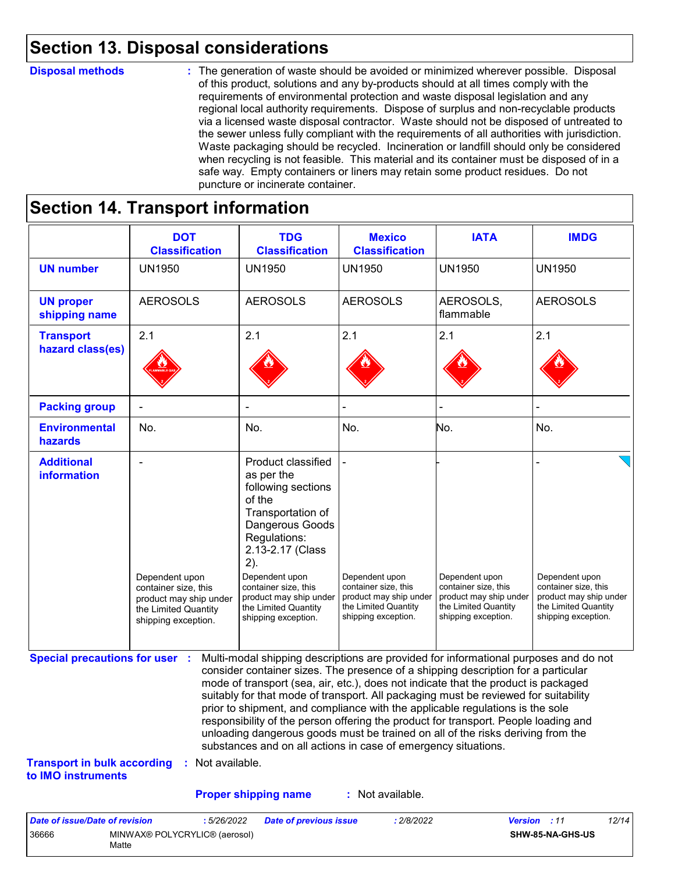### **Section 13. Disposal considerations**

#### **Disposal methods :**

The generation of waste should be avoided or minimized wherever possible. Disposal of this product, solutions and any by-products should at all times comply with the requirements of environmental protection and waste disposal legislation and any regional local authority requirements. Dispose of surplus and non-recyclable products via a licensed waste disposal contractor. Waste should not be disposed of untreated to the sewer unless fully compliant with the requirements of all authorities with jurisdiction. Waste packaging should be recycled. Incineration or landfill should only be considered when recycling is not feasible. This material and its container must be disposed of in a safe way. Empty containers or liners may retain some product residues. Do not puncture or incinerate container.

### **Section 14. Transport information**

|                                                                                                   | <b>DOT</b><br><b>Classification</b>                                                                             | <b>TDG</b><br><b>Classification</b>                                                                                                                                                                                                                                                                                                                                                                                                                                                                                                                                                                                                                                                 | <b>Mexico</b><br><b>Classification</b>                                                                          | <b>IATA</b>                                                                                                     | <b>IMDG</b>                                                                                                     |
|---------------------------------------------------------------------------------------------------|-----------------------------------------------------------------------------------------------------------------|-------------------------------------------------------------------------------------------------------------------------------------------------------------------------------------------------------------------------------------------------------------------------------------------------------------------------------------------------------------------------------------------------------------------------------------------------------------------------------------------------------------------------------------------------------------------------------------------------------------------------------------------------------------------------------------|-----------------------------------------------------------------------------------------------------------------|-----------------------------------------------------------------------------------------------------------------|-----------------------------------------------------------------------------------------------------------------|
| <b>UN number</b>                                                                                  | <b>UN1950</b>                                                                                                   | <b>UN1950</b>                                                                                                                                                                                                                                                                                                                                                                                                                                                                                                                                                                                                                                                                       | <b>UN1950</b>                                                                                                   | <b>UN1950</b>                                                                                                   | <b>UN1950</b>                                                                                                   |
| <b>UN proper</b><br>shipping name                                                                 | <b>AEROSOLS</b>                                                                                                 | <b>AEROSOLS</b>                                                                                                                                                                                                                                                                                                                                                                                                                                                                                                                                                                                                                                                                     | <b>AEROSOLS</b>                                                                                                 | AEROSOLS,<br>flammable                                                                                          | <b>AEROSOLS</b>                                                                                                 |
| <b>Transport</b><br>hazard class(es)                                                              | 2.1                                                                                                             | 2.1                                                                                                                                                                                                                                                                                                                                                                                                                                                                                                                                                                                                                                                                                 | 2.1                                                                                                             | 2.1                                                                                                             | 2.1                                                                                                             |
|                                                                                                   |                                                                                                                 |                                                                                                                                                                                                                                                                                                                                                                                                                                                                                                                                                                                                                                                                                     |                                                                                                                 |                                                                                                                 |                                                                                                                 |
| <b>Packing group</b>                                                                              |                                                                                                                 |                                                                                                                                                                                                                                                                                                                                                                                                                                                                                                                                                                                                                                                                                     |                                                                                                                 |                                                                                                                 |                                                                                                                 |
| <b>Environmental</b><br>hazards                                                                   | No.                                                                                                             | No.                                                                                                                                                                                                                                                                                                                                                                                                                                                                                                                                                                                                                                                                                 | No.                                                                                                             | No.                                                                                                             | No.                                                                                                             |
| <b>Additional</b><br>information                                                                  | Dependent upon<br>container size, this<br>product may ship under<br>the Limited Quantity<br>shipping exception. | Product classified<br>as per the<br>following sections<br>of the<br>Transportation of<br>Dangerous Goods<br>Regulations:<br>2.13-2.17 (Class<br>2).<br>Dependent upon<br>container size, this<br>product may ship under<br>the Limited Quantity<br>shipping exception.                                                                                                                                                                                                                                                                                                                                                                                                              | Dependent upon<br>container size, this<br>product may ship under<br>the Limited Quantity<br>shipping exception. | Dependent upon<br>container size, this<br>product may ship under<br>the Limited Quantity<br>shipping exception. | Dependent upon<br>container size, this<br>product may ship under<br>the Limited Quantity<br>shipping exception. |
| <b>Special precautions for user :</b><br><b>Transport in bulk according</b><br>to IMO instruments | : Not available.                                                                                                | Multi-modal shipping descriptions are provided for informational purposes and do not<br>consider container sizes. The presence of a shipping description for a particular<br>mode of transport (sea, air, etc.), does not indicate that the product is packaged<br>suitably for that mode of transport. All packaging must be reviewed for suitability<br>prior to shipment, and compliance with the applicable regulations is the sole<br>responsibility of the person offering the product for transport. People loading and<br>unloading dangerous goods must be trained on all of the risks deriving from the<br>substances and on all actions in case of emergency situations. |                                                                                                                 |                                                                                                                 |                                                                                                                 |
|                                                                                                   |                                                                                                                 |                                                                                                                                                                                                                                                                                                                                                                                                                                                                                                                                                                                                                                                                                     |                                                                                                                 |                                                                                                                 |                                                                                                                 |

| Date of issue/Date of revision |                                        | : 5/26/2022 | <b>Date of previous issue</b> | 2/8/2022 | <b>Version</b> : 11 |                  | 12/14 |
|--------------------------------|----------------------------------------|-------------|-------------------------------|----------|---------------------|------------------|-------|
| 36666                          | MINWAX® POLYCRYLIC® (aerosol)<br>Matte |             |                               |          |                     | SHW-85-NA-GHS-US |       |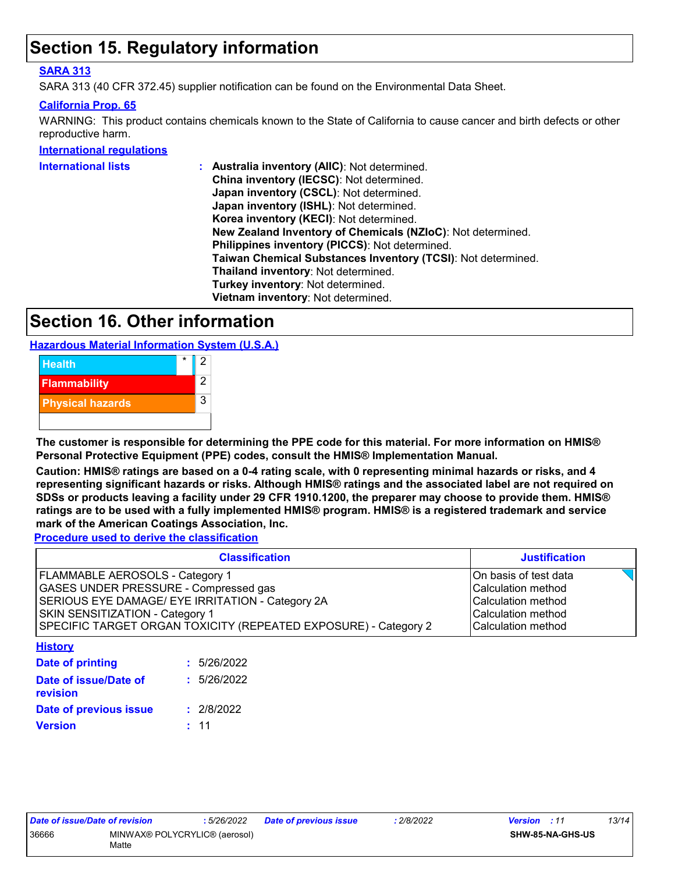### **Section 15. Regulatory information**

#### **SARA 313**

SARA 313 (40 CFR 372.45) supplier notification can be found on the Environmental Data Sheet.

#### **California Prop. 65**

WARNING: This product contains chemicals known to the State of California to cause cancer and birth defects or other reproductive harm.

#### **International regulations**

| Australia inventory (AIIC): Not determined.                  |
|--------------------------------------------------------------|
| China inventory (IECSC): Not determined.                     |
| Japan inventory (CSCL): Not determined.                      |
| Japan inventory (ISHL): Not determined.                      |
| Korea inventory (KECI): Not determined.                      |
| New Zealand Inventory of Chemicals (NZIoC): Not determined.  |
| Philippines inventory (PICCS): Not determined.               |
| Taiwan Chemical Substances Inventory (TCSI): Not determined. |
| Thailand inventory: Not determined.                          |
| Turkey inventory: Not determined.                            |
| Vietnam inventory: Not determined.                           |
|                                                              |

### **Section 16. Other information**

**Hazardous Material Information System (U.S.A.)**



**The customer is responsible for determining the PPE code for this material. For more information on HMIS® Personal Protective Equipment (PPE) codes, consult the HMIS® Implementation Manual.**

**Caution: HMIS® ratings are based on a 0-4 rating scale, with 0 representing minimal hazards or risks, and 4 representing significant hazards or risks. Although HMIS® ratings and the associated label are not required on SDSs or products leaving a facility under 29 CFR 1910.1200, the preparer may choose to provide them. HMIS® ratings are to be used with a fully implemented HMIS® program. HMIS® is a registered trademark and service mark of the American Coatings Association, Inc.**

**Procedure used to derive the classification**

| <b>Classification</b>                                           | <b>Justification</b>  |
|-----------------------------------------------------------------|-----------------------|
| FLAMMABLE AEROSOLS - Category 1                                 | On basis of test data |
| <b>GASES UNDER PRESSURE - Compressed gas</b>                    | Calculation method    |
| SERIOUS EYE DAMAGE/ EYE IRRITATION - Category 2A                | Calculation method    |
| <b>SKIN SENSITIZATION - Category 1</b>                          | Calculation method    |
| SPECIFIC TARGET ORGAN TOXICITY (REPEATED EXPOSURE) - Category 2 | Calculation method    |

**History**

| <b>Date of printing</b>           | : 5/26/2022 |
|-----------------------------------|-------------|
| Date of issue/Date of<br>revision | : 5/26/2022 |
| Date of previous issue            | : 2/8/2022  |
| Version                           | : 11        |
|                                   |             |